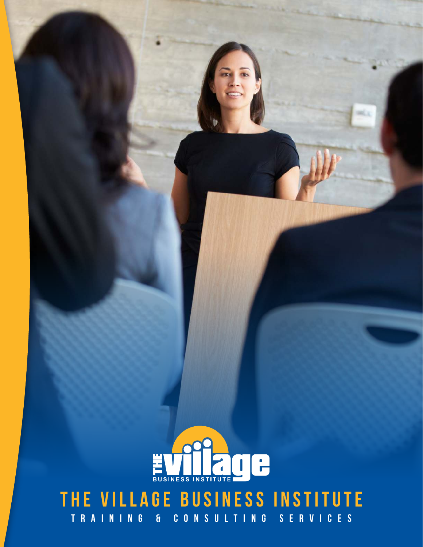

# **Training & Consulting Services** EVILAGE BUSINESS INSTITUTE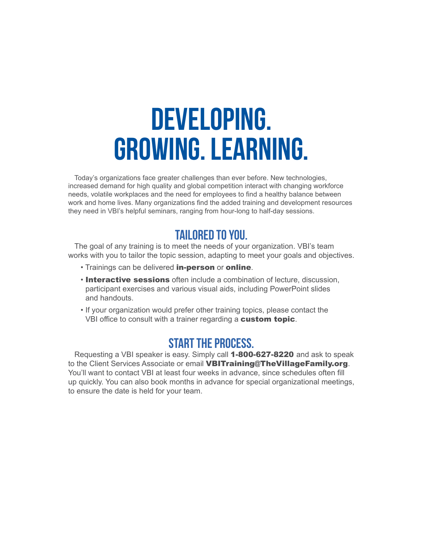# **DEVELOPING. GROWING. LEARNING.**

Today's organizations face greater challenges than ever before. New technologies, increased demand for high quality and global competition interact with changing workforce needs, volatile workplaces and the need for employees to find a healthy balance between work and home lives. Many organizations find the added training and development resources they need in VBI's helpful seminars, ranging from hour-long to half-day sessions.

#### **TAILORED TO YOU.**

The goal of any training is to meet the needs of your organization. VBI's team works with you to tailor the topic session, adapting to meet your goals and objectives.

- Trainings can be delivered in-person or online.
- Interactive sessions often include a combination of lecture, discussion, participant exercises and various visual aids, including PowerPoint slides and handouts.
- If your organization would prefer other training topics, please contact the VBI office to consult with a trainer regarding a custom topic.

#### **START THE PROCESS.**

Requesting a VBI speaker is easy. Simply call 1-800-627-8220 and ask to speak to the Client Services Associate or email **VBITraining@TheVillageFamily.org**. You'll want to contact VBI at least four weeks in advance, since schedules often fill up quickly. You can also book months in advance for special organizational meetings, to ensure the date is held for your team.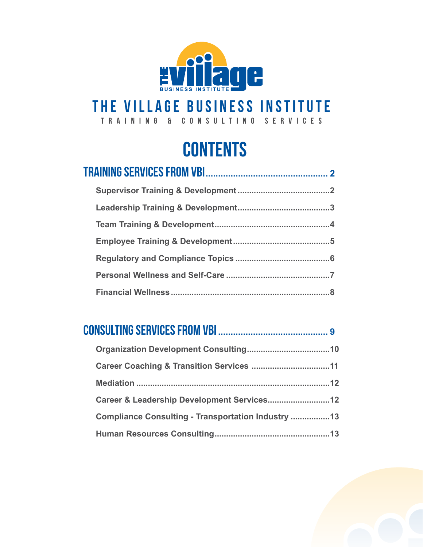

#### **the village business institute**

**Training & Consulting Services**

## **CONTENTS**

#### **Consulting Services From VBI ............................................ <sup>9</sup>**

| Compliance Consulting - Transportation Industry 13 |  |
|----------------------------------------------------|--|
|                                                    |  |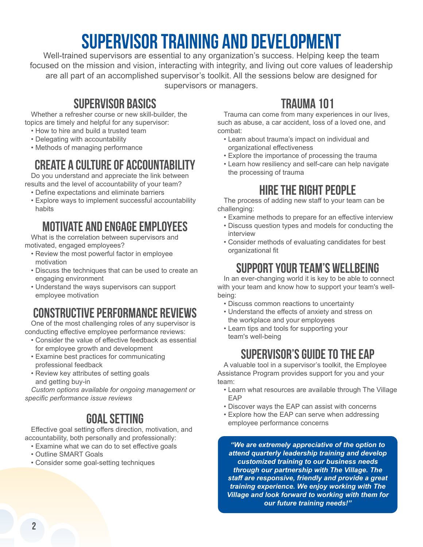## **Supervisor Training and Development**

Well-trained supervisors are essential to any organization's success. Helping keep the team focused on the mission and vision, interacting with integrity, and living out core values of leadership are all part of an accomplished supervisor's toolkit. All the sessions below are designed for supervisors or managers.

#### **Supervisor Basics**

Whether a refresher course or new skill-builder, the topics are timely and helpful for any supervisor:

- How to hire and build a trusted team
- Delegating with accountability
- Methods of managing performance

#### **Create a Culture of Accountability**

Do you understand and appreciate the link between results and the level of accountability of your team?

- Define expectations and eliminate barriers
- Explore ways to implement successful accountability habits

#### **Motivate and Engage Employees**

What is the correlation between supervisors and motivated, engaged employees?

- Review the most powerful factor in employee motivation
- Discuss the techniques that can be used to create an engaging environment
- Understand the ways supervisors can support employee motivation

#### **Constructive Performance Reviews**

One of the most challenging roles of any supervisor is conducting effective employee performance reviews:

- Consider the value of effective feedback as essential for employee growth and development
- Examine best practices for communicating professional feedback
- Review key attributes of setting goals and getting buy-in

*Custom options available for ongoing management or specific performance issue reviews*

#### **Goal Setting**

Effective goal setting offers direction, motivation, and accountability, both personally and professionally:

- Examine what we can do to set effective goals
- Outline SMART Goals
- Consider some goal-setting techniques

#### **Trauma 101**

Trauma can come from many experiences in our lives, such as abuse, a car accident, loss of a loved one, and combat:

- Learn about trauma's impact on individual and organizational effectiveness
- Explore the importance of processing the trauma
- Learn how resiliency and self-care can help navigate the processing of trauma

#### **Hire the Right People**

The process of adding new staff to your team can be challenging:

- Examine methods to prepare for an effective interview
- Discuss question types and models for conducting the interview
- Consider methods of evaluating candidates for best organizational fit

#### **Support Your Team's Wellbeing**

In an ever-changing world it is key to be able to connect with your team and know how to support your team's wellbeing:

- Discuss common reactions to uncertainty
- Understand the effects of anxiety and stress on the workplace and your employees
- Learn tips and tools for supporting your team's well-being

#### **Supervisor's Guide to the EAP**

A valuable tool in a supervisor's toolkit, the Employee Assistance Program provides support for you and your team:

- Learn what resources are available through The Village EAP
- Discover ways the EAP can assist with concerns
- Explore how the EAP can serve when addressing employee performance concerns

*"We are extremely appreciative of the option to attend quarterly leadership training and develop customized training to our business needs through our partnership with The Village. The staff are responsive, friendly and provide a great training experience. We enjoy working with The Village and look forward to working with them for our future training needs!"*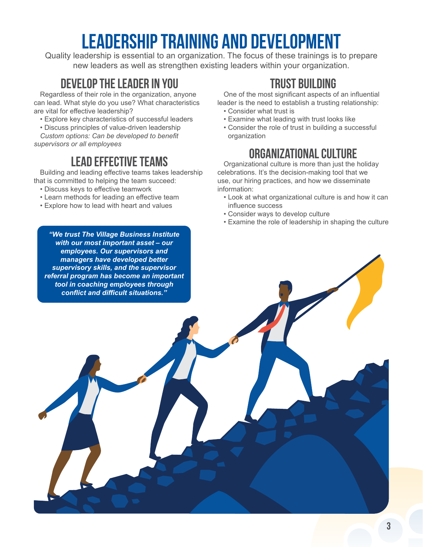## **Leadership Training and Development**

Quality leadership is essential to an organization. The focus of these trainings is to prepare new leaders as well as strengthen existing leaders within your organization.

#### **Develop the Leader in You**

Regardless of their role in the organization, anyone can lead. What style do you use? What characteristics are vital for effective leadership?

- Explore key characteristics of successful leaders
- Discuss principles of value-driven leadership

*Custom options: Can be developed to benefit supervisors or all employees*

#### **Lead Effective Teams**

Building and leading effective teams takes leadership that is committed to helping the team succeed:

- Discuss keys to effective teamwork
- Learn methods for leading an effective team
- Explore how to lead with heart and values

*"We trust The Village Business Institute with our most important asset – our employees. Our supervisors and managers have developed better supervisory skills, and the supervisor referral program has become an important tool in coaching employees through conflict and difficult situations."*

#### **Trust Building**

One of the most significant aspects of an influential leader is the need to establish a trusting relationship: • Consider what trust is

- Examine what leading with trust looks like
- Consider the role of trust in building a successful organization

#### **Organizational Culture**

Organizational culture is more than just the holiday celebrations. It's the decision-making tool that we use, our hiring practices, and how we disseminate information:

- Look at what organizational culture is and how it can influence success
- Consider ways to develop culture
- Examine the role of leadership in shaping the culture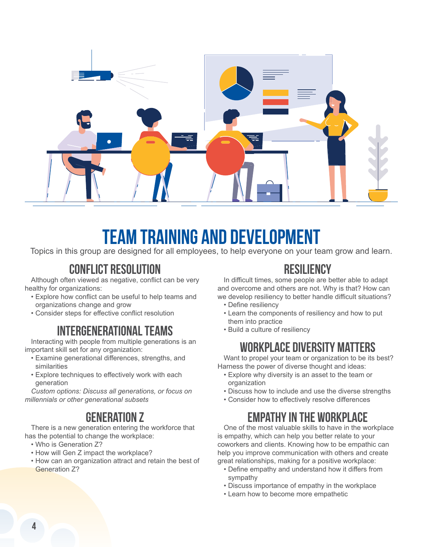

## **Team Training and Development**

Topics in this group are designed for all employees, to help everyone on your team grow and learn.

#### **Conflict Resolution**

Although often viewed as negative, conflict can be very healthy for organizations:

- Explore how conflict can be useful to help teams and organizations change and grow
- Consider steps for effective conflict resolution

#### **Intergenerational Teams**

Interacting with people from multiple generations is an important skill set for any organization:

- Examine generational differences, strengths, and similarities
- Explore techniques to effectively work with each generation

*Custom options: Discuss all generations, or focus on millennials or other generational subsets*

#### **Generation Z**

There is a new generation entering the workforce that has the potential to change the workplace:

- Who is Generation Z?
- How will Gen Z impact the workplace?
- How can an organization attract and retain the best of Generation Z?

#### **Resiliency**

In difficult times, some people are better able to adapt and overcome and others are not. Why is that? How can we develop resiliency to better handle difficult situations?

- Define resiliency
- Learn the components of resiliency and how to put them into practice
- Build a culture of resiliency

#### **Workplace Diversity Matters**

Want to propel your team or organization to be its best? Harness the power of diverse thought and ideas:

- Explore why diversity is an asset to the team or organization
- Discuss how to include and use the diverse strengths
- Consider how to effectively resolve differences

#### **Empathy in the Workplace**

One of the most valuable skills to have in the workplace is empathy, which can help you better relate to your coworkers and clients. Knowing how to be empathic can help you improve communication with others and create great relationships, making for a positive workplace:

- Define empathy and understand how it differs from sympathy
- Discuss importance of empathy in the workplace
- Learn how to become more empathetic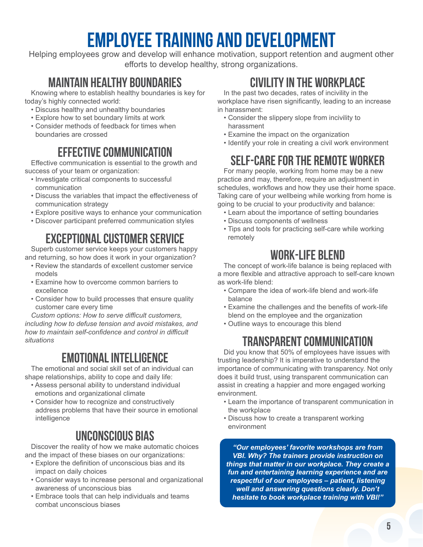## **Employee Training and Development**

Helping employees grow and develop will enhance motivation, support retention and augment other efforts to develop healthy, strong organizations.

#### **Maintain Healthy Boundaries**

Knowing where to establish healthy boundaries is key for today's highly connected world:

- Discuss healthy and unhealthy boundaries
- Explore how to set boundary limits at work
- Consider methods of feedback for times when boundaries are crossed

#### **Effective Communication**

Effective communication is essential to the growth and success of your team or organization:

- Investigate critical components to successful communication
- Discuss the variables that impact the effectiveness of communication strategy
- Explore positive ways to enhance your communication
- Discover participant preferred communication styles

#### **Exceptional Customer Service**

Superb customer service keeps your customers happy and returning, so how does it work in your organization?

- Review the standards of excellent customer service models
- Examine how to overcome common barriers to excellence
- Consider how to build processes that ensure quality customer care every time

*Custom options: How to serve difficult customers, including how to defuse tension and avoid mistakes, and how to maintain self-confidence and control in difficult situations*

#### **Emotional Intelligence**

The emotional and social skill set of an individual can shape relationships, ability to cope and daily life:

- Assess personal ability to understand individual emotions and organizational climate
- Consider how to recognize and constructively address problems that have their source in emotional intelligence

#### **Unconscious Bias**

Discover the reality of how we make automatic choices and the impact of these biases on our organizations:

- Explore the definition of unconscious bias and its impact on daily choices
- Consider ways to increase personal and organizational awareness of unconscious bias
- Embrace tools that can help individuals and teams combat unconscious biases

#### **Civility in the Workplace**

In the past two decades, rates of incivility in the workplace have risen significantly, leading to an increase in harassment:

- Consider the slippery slope from incivility to harassment
- Examine the impact on the organization
- Identify your role in creating a civil work environment

#### **Self-Care for the Remote Worker**

For many people, working from home may be a new practice and may, therefore, require an adjustment in schedules, workflows and how they use their home space. Taking care of your wellbeing while working from home is going to be crucial to your productivity and balance:

- Learn about the importance of setting boundaries
- Discuss components of wellness
- Tips and tools for practicing self-care while working remotely

#### **Work-Life Blend**

The concept of work-life balance is being replaced with a more flexible and attractive approach to self-care known as work-life blend:

- Compare the idea of work-life blend and work-life balance
- Examine the challenges and the benefits of work-life blend on the employee and the organization
- Outline ways to encourage this blend

#### **Transparent Communication**

Did you know that 50% of employees have issues with trusting leadership? It is imperative to understand the importance of communicating with transparency. Not only does it build trust, using transparent communication can assist in creating a happier and more engaged working environment.

- Learn the importance of transparent communication in the workplace
- Discuss how to create a transparent working environment

*"Our employees' favorite workshops are from VBI. Why? The trainers provide instruction on things that matter in our workplace. They create a fun and entertaining learning experience and are respectful of our employees – patient, listening well and answering questions clearly. Don't hesitate to book workplace training with VBI!"*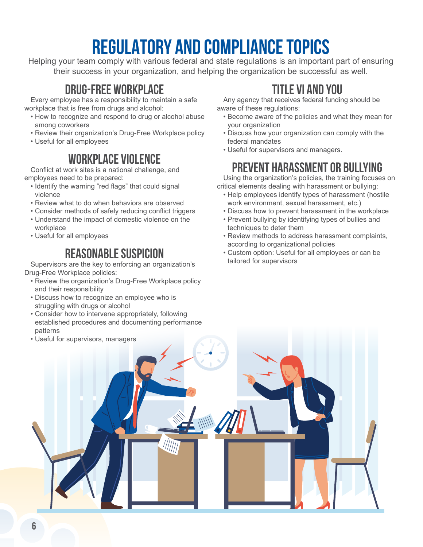## **REGULATORY AND COMPLIANCE TOPICS**

Helping your team comply with various federal and state regulations is an important part of ensuring their success in your organization, and helping the organization be successful as well.

#### **Drug-Free Workplace**

Every employee has a responsibility to maintain a safe workplace that is free from drugs and alcohol:

- How to recognize and respond to drug or alcohol abuse among coworkers
- Review their organization's Drug-Free Workplace policy
- Useful for all employees

#### **Workplace Violence**

Conflict at work sites is a national challenge, and employees need to be prepared:

- Identify the warning "red flags" that could signal violence
- Review what to do when behaviors are observed
- Consider methods of safely reducing conflict triggers
- Understand the impact of domestic violence on the workplace
- Useful for all employees

#### **Reasonable Suspicion**

Supervisors are the key to enforcing an organization's Drug-Free Workplace policies:

- Review the organization's Drug-Free Workplace policy and their responsibility
- Discuss how to recognize an employee who is struggling with drugs or alcohol
- Consider how to intervene appropriately, following established procedures and documenting performance patterns

#### **Title VI and You**

Any agency that receives federal funding should be aware of these regulations:

- Become aware of the policies and what they mean for your organization
- Discuss how your organization can comply with the federal mandates
- Useful for supervisors and managers.

#### **Prevent Harassment or Bullying**

Using the organization's policies, the training focuses on critical elements dealing with harassment or bullying:

- Help employees identify types of harassment (hostile work environment, sexual harassment, etc.)
- Discuss how to prevent harassment in the workplace
- Prevent bullying by identifying types of bullies and techniques to deter them
- Review methods to address harassment complaints, according to organizational policies
- Custom option: Useful for all employees or can be tailored for supervisors

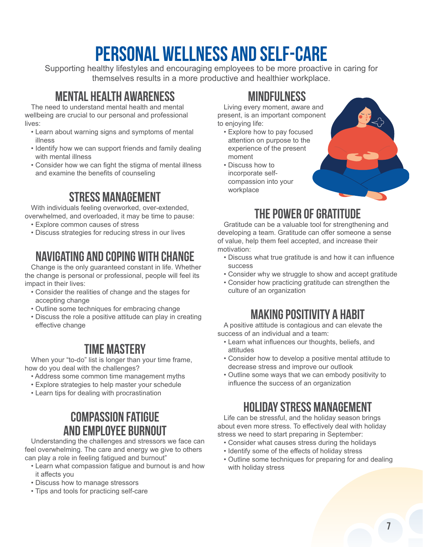## **Personal Wellness and Self-Care**

Supporting healthy lifestyles and encouraging employees to be more proactive in caring for themselves results in a more productive and healthier workplace.

#### **Mental Health Awareness**

The need to understand mental health and mental wellbeing are crucial to our personal and professional lives:

- Learn about warning signs and symptoms of mental illness
- Identify how we can support friends and family dealing with mental illness
- Consider how we can fight the stigma of mental illness and examine the benefits of counseling

#### **Stress Management**

With individuals feeling overworked, over-extended, overwhelmed, and overloaded, it may be time to pause:

- Explore common causes of stress
- Discuss strategies for reducing stress in our lives

#### **Navigating and Coping with Change**

Change is the only guaranteed constant in life. Whether the change is personal or professional, people will feel its impact in their lives:

- Consider the realities of change and the stages for accepting change
- Outline some techniques for embracing change
- Discuss the role a positive attitude can play in creating effective change

#### **Time Mastery**

When your "to-do" list is longer than your time frame, how do you deal with the challenges?

- Address some common time management myths
- Explore strategies to help master your schedule
- Learn tips for dealing with procrastination

#### **Compassion Fatigue and Employee Burnout**

Understanding the challenges and stressors we face can feel overwhelming. The care and energy we give to others can play a role in feeling fatigued and burnout"

- Learn what compassion fatigue and burnout is and how it affects you
- Discuss how to manage stressors
- Tips and tools for practicing self-care

#### **Mindfulness**

Living every moment, aware and present, is an important component to enjoying life:

- Explore how to pay focused attention on purpose to the experience of the present moment
- Discuss how to incorporate selfcompassion into your workplace

#### **The Power of Gratitude**

Gratitude can be a valuable tool for strengthening and developing a team. Gratitude can offer someone a sense of value, help them feel accepted, and increase their motivation:

- Discuss what true gratitude is and how it can influence success
- Consider why we struggle to show and accept gratitude
- Consider how practicing gratitude can strengthen the culture of an organization

#### **Making Positivity a Habit**

A positive attitude is contagious and can elevate the success of an individual and a team:

- Learn what influences our thoughts, beliefs, and attitudes
- Consider how to develop a positive mental attitude to decrease stress and improve our outlook
- Outline some ways that we can embody positivity to influence the success of an organization

#### **Holiday Stress Management**

Life can be stressful, and the holiday season brings about even more stress. To effectively deal with holiday stress we need to start preparing in September:

- Consider what causes stress during the holidays
- Identify some of the effects of holiday stress
- Outline some techniques for preparing for and dealing with holiday stress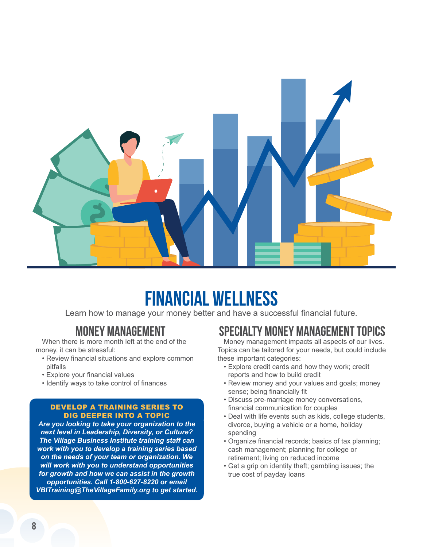

## **Financial Wellness**

Learn how to manage your money better and have a successful financial future.

#### **Money Management**

When there is more month left at the end of the money, it can be stressful:

- Review financial situations and explore common pitfalls
- Explore your financial values
- Identify ways to take control of finances

#### DEVELOP A TRAINING SERIES TO DIG DEEPER INTO A TOPIC

*Are you looking to take your organization to the next level in Leadership, Diversity, or Culture? The Village Business Institute training staff can work with you to develop a training series based on the needs of your team or organization. We will work with you to understand opportunities for growth and how we can assist in the growth opportunities. Call 1-800-627-8220 or email VBITraining@TheVillageFamily.org to get started.*

#### **Specialty Money Management Topics**

Money management impacts all aspects of our lives. Topics can be tailored for your needs, but could include these important categories:

- Explore credit cards and how they work; credit reports and how to build credit
- Review money and your values and goals; money sense; being financially fit
- Discuss pre-marriage money conversations, financial communication for couples
- Deal with life events such as kids, college students, divorce, buying a vehicle or a home, holiday spending
- Organize financial records; basics of tax planning; cash management; planning for college or retirement; living on reduced income
- Get a grip on identity theft; gambling issues; the true cost of payday loans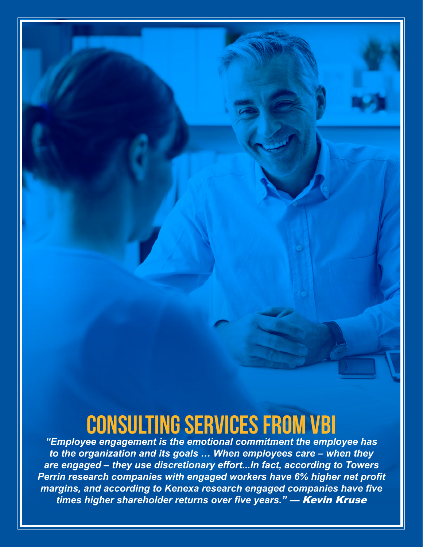## **CONSULTING SERVICES FROM VBI**

*"Employee engagement is the emotional commitment the employee has to the organization and its goals … When employees care – when they are engaged – they use discretionary effort...In fact, according to Towers Perrin research companies with engaged workers have 6% higher net profit margins, and according to Kenexa research engaged companies have five times higher shareholder returns over five years."* — Kevin Kruse

**9**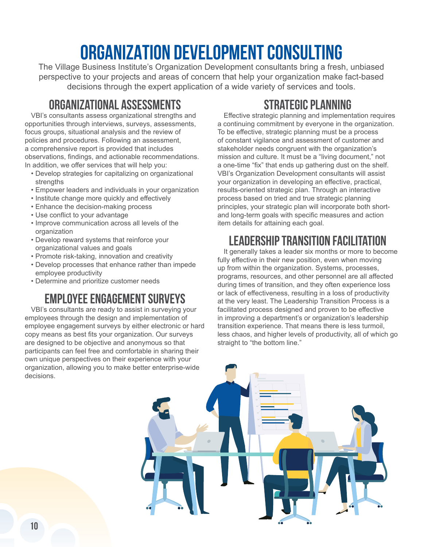## **ORGANIZATION DEVELOPMENT CONSULTING**

The Village Business Institute's Organization Development consultants bring a fresh, unbiased perspective to your projects and areas of concern that help your organization make fact-based decisions through the expert application of a wide variety of services and tools.

#### **Organizational Assessments**

VBI's consultants assess organizational strengths and opportunities through interviews, surveys, assessments, focus groups, situational analysis and the review of policies and procedures. Following an assessment, a comprehensive report is provided that includes observations, findings, and actionable recommendations. In addition, we offer services that will help you:

- Develop strategies for capitalizing on organizational strengths
- Empower leaders and individuals in your organization
- Institute change more quickly and effectively
- Enhance the decision-making process
- Use conflict to your advantage
- Improve communication across all levels of the organization
- Develop reward systems that reinforce your organizational values and goals
- Promote risk-taking, innovation and creativity
- Develop processes that enhance rather than impede employee productivity
- Determine and prioritize customer needs

#### **Employee Engagement Surveys**

VBI's consultants are ready to assist in surveying your employees through the design and implementation of employee engagement surveys by either electronic or hard copy means as best fits your organization. Our surveys are designed to be objective and anonymous so that participants can feel free and comfortable in sharing their own unique perspectives on their experience with your organization, allowing you to make better enterprise-wide decisions.

#### **Strategic Planning**

Effective strategic planning and implementation requires a continuing commitment by everyone in the organization. To be effective, strategic planning must be a process of constant vigilance and assessment of customer and stakeholder needs congruent with the organization's mission and culture. It must be a "living document," not a one-time "fix" that ends up gathering dust on the shelf. VBI's Organization Development consultants will assist your organization in developing an effective, practical, results-oriented strategic plan. Through an interactive process based on tried and true strategic planning principles, your strategic plan will incorporate both shortand long-term goals with specific measures and action item details for attaining each goal.

#### **Leadership Transition Facilitation**

It generally takes a leader six months or more to become fully effective in their new position, even when moving up from within the organization. Systems, processes, programs, resources, and other personnel are all affected during times of transition, and they often experience loss or lack of effectiveness, resulting in a loss of productivity at the very least. The Leadership Transition Process is a facilitated process designed and proven to be effective in improving a department's or organization's leadership transition experience. That means there is less turmoil, less chaos, and higher levels of productivity, all of which go straight to "the bottom line."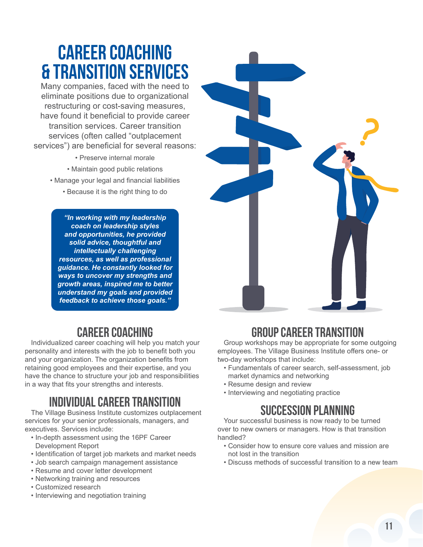## **CAREER COACHING & TRANSITION SERVICES**

Many companies, faced with the need to eliminate positions due to organizational restructuring or cost-saving measures, have found it beneficial to provide career transition services. Career transition services (often called "outplacement services") are beneficial for several reasons:

- Preserve internal morale
- Maintain good public relations
- Manage your legal and financial liabilities
	- Because it is the right thing to do

*"In working with my leadership coach on leadership styles and opportunities, he provided solid advice, thoughtful and intellectually challenging resources, as well as professional guidance. He constantly looked for ways to uncover my strengths and growth areas, inspired me to better understand my goals and provided feedback to achieve those goals."* 

#### **Career Coaching**

Individualized career coaching will help you match your personality and interests with the job to benefit both you and your organization. The organization benefits from retaining good employees and their expertise, and you have the chance to structure your job and responsibilities in a way that fits your strengths and interests.

#### **Individual Career Transition**

The Village Business Institute customizes outplacement services for your senior professionals, managers, and executives. Services include:

- In-depth assessment using the 16PF Career Development Report
- Identification of target job markets and market needs
- Job search campaign management assistance
- Resume and cover letter development
- Networking training and resources
- Customized research
- Interviewing and negotiation training



#### **Group Career Transition**

Group workshops may be appropriate for some outgoing employees. The Village Business Institute offers one- or two-day workshops that include:

- Fundamentals of career search, self-assessment, job market dynamics and networking
- Resume design and review
- Interviewing and negotiating practice

#### **Succession Planning**

Your successful business is now ready to be turned over to new owners or managers. How is that transition handled?

- Consider how to ensure core values and mission are not lost in the transition
- Discuss methods of successful transition to a new team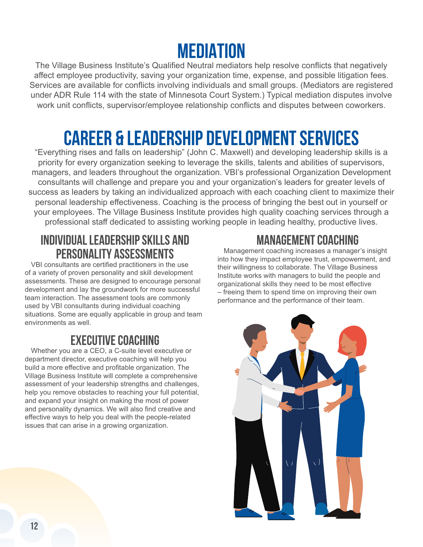## **MEDIATION**

The Village Business Institute's Qualified Neutral mediators help resolve conflicts that negatively affect employee productivity, saving your organization time, expense, and possible litigation fees. Services are available for conflicts involving individuals and small groups. (Mediators are registered under ADR Rule 114 with the state of Minnesota Court System.) Typical mediation disputes involve work unit conflicts, supervisor/employee relationship conflicts and disputes between coworkers.

## **CAREER & LEADERSHIP DEVELOPMENT SERVICES**

"Everything rises and falls on leadership" (John C. Maxwell) and developing leadership skills is a priority for every organization seeking to leverage the skills, talents and abilities of supervisors, managers, and leaders throughout the organization. VBI's professional Organization Development consultants will challenge and prepare you and your organization's leaders for greater levels of success as leaders by taking an individualized approach with each coaching client to maximize their personal leadership effectiveness. Coaching is the process of bringing the best out in yourself or your employees. The Village Business Institute provides high quality coaching services through a professional staff dedicated to assisting working people in leading healthy, productive lives.

#### **Individual Leadership Skills and Personality Assessments**

VBI consultants are certified practitioners in the use of a variety of proven personality and skill development assessments. These are designed to encourage personal development and lay the groundwork for more successful team interaction. The assessment tools are commonly used by VBI consultants during individual coaching situations. Some are equally applicable in group and team environments as well.

#### **Executive Coaching**

Whether you are a CEO, a C-suite level executive or department director, executive coaching will help you build a more effective and profitable organization. The Village Business Institute will complete a comprehensive assessment of your leadership strengths and challenges, help you remove obstacles to reaching your full potential, and expand your insight on making the most of power and personality dynamics. We will also find creative and effective ways to help you deal with the people-related issues that can arise in a growing organization.

#### **Management Coaching**

Management coaching increases a manager's insight into how they impact employee trust, empowerment, and their willingness to collaborate. The Village Business Institute works with managers to build the people and organizational skills they need to be most effective – freeing them to spend time on improving their own performance and the performance of their team.

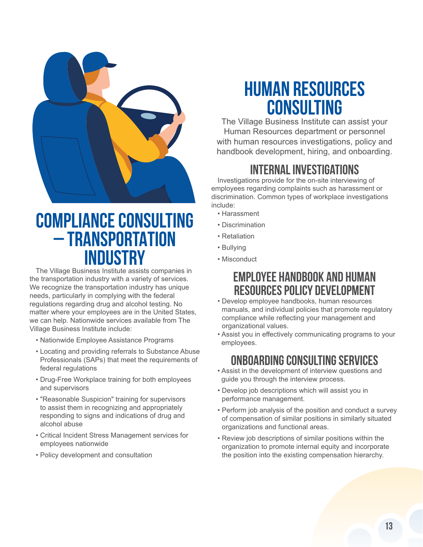

### **COMPLIANCE CONSULTING – TRANSPORTATION INDUSTRY**

The Village Business Institute assists companies in the transportation industry with a variety of services. We recognize the transportation industry has unique needs, particularly in complying with the federal regulations regarding drug and alcohol testing. No matter where your employees are in the United States, we can help. Nationwide services available from The Village Business Institute include:

- Nationwide Employee Assistance Programs
- Locating and providing referrals to Substance Abuse Professionals (SAPs) that meet the requirements of federal regulations
- Drug-Free Workplace training for both employees and supervisors
- "Reasonable Suspicion" training for supervisors to assist them in recognizing and appropriately responding to signs and indications of drug and alcohol abuse
- Critical Incident Stress Management services for employees nationwide
- Policy development and consultation

## **HUMAN RESOURCES CONSULTING**

The Village Business Institute can assist your Human Resources department or personnel with human resources investigations, policy and handbook development, hiring, and onboarding.

#### **Internal Investigations**

Investigations provide for the on-site interviewing of employees regarding complaints such as harassment or discrimination. Common types of workplace investigations include:

- Harassment
- Discrimination
- Retaliation
- Bullying
- Misconduct

#### **Employee Handbook and Human Resources Policy Development**

- Develop employee handbooks, human resources manuals, and individual policies that promote regulatory compliance while reflecting your management and organizational values.
- Assist you in effectively communicating programs to your employees.

#### **Onboarding Consulting Services**

- Assist in the development of interview questions and guide you through the interview process.
- Develop job descriptions which will assist you in performance management.
- Perform job analysis of the position and conduct a survey of compensation of similar positions in similarly situated organizations and functional areas.
- Review job descriptions of similar positions within the organization to promote internal equity and incorporate the position into the existing compensation hierarchy.